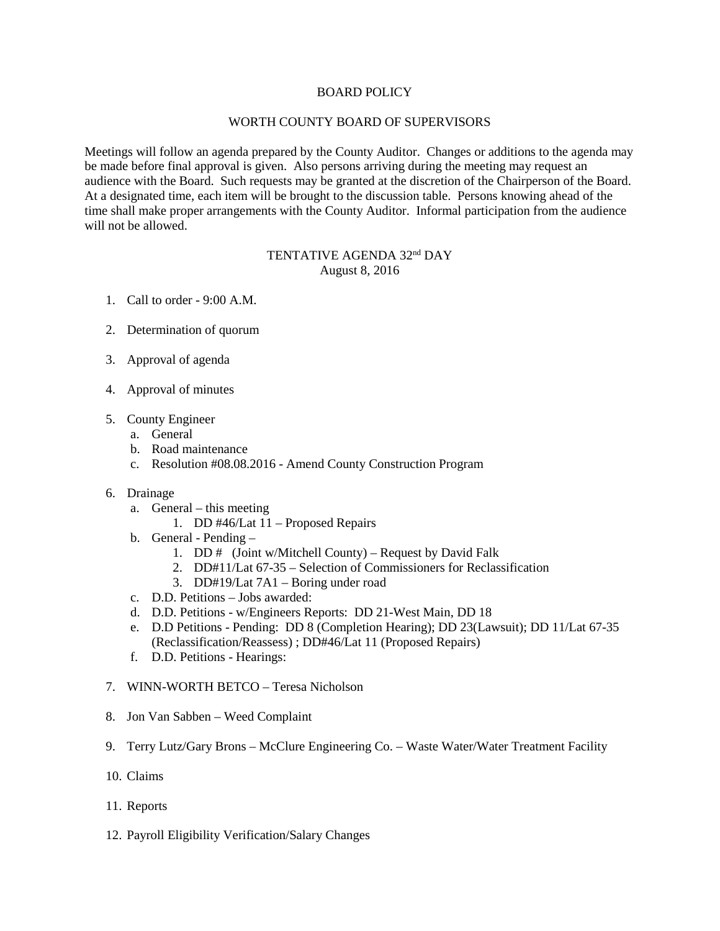## BOARD POLICY

## WORTH COUNTY BOARD OF SUPERVISORS

Meetings will follow an agenda prepared by the County Auditor. Changes or additions to the agenda may be made before final approval is given. Also persons arriving during the meeting may request an audience with the Board. Such requests may be granted at the discretion of the Chairperson of the Board. At a designated time, each item will be brought to the discussion table. Persons knowing ahead of the time shall make proper arrangements with the County Auditor. Informal participation from the audience will not be allowed.

## TENTATIVE AGENDA 32<sup>nd</sup> DAY August 8, 2016

- 1. Call to order 9:00 A.M.
- 2. Determination of quorum
- 3. Approval of agenda
- 4. Approval of minutes
- 5. County Engineer
	- a. General
	- b. Road maintenance
	- c. Resolution #08.08.2016 Amend County Construction Program
- 6. Drainage
	- a. General this meeting
		- 1. DD #46/Lat 11 Proposed Repairs
	- b. General Pending
		- 1. DD # (Joint w/Mitchell County) Request by David Falk
		- 2. DD#11/Lat 67-35 Selection of Commissioners for Reclassification
		- 3. DD#19/Lat 7A1 Boring under road
	- c. D.D. Petitions Jobs awarded:
	- d. D.D. Petitions w/Engineers Reports: DD 21-West Main, DD 18
	- e. D.D Petitions Pending: DD 8 (Completion Hearing); DD 23(Lawsuit); DD 11/Lat 67-35 (Reclassification/Reassess) ; DD#46/Lat 11 (Proposed Repairs)
	- f. D.D. Petitions Hearings:
- 7. WINN-WORTH BETCO Teresa Nicholson
- 8. Jon Van Sabben Weed Complaint
- 9. Terry Lutz/Gary Brons McClure Engineering Co. Waste Water/Water Treatment Facility
- 10. Claims
- 11. Reports
- 12. Payroll Eligibility Verification/Salary Changes